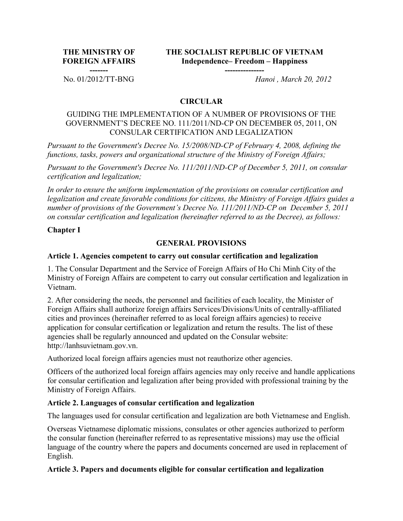**THE MINISTRY OF FOREIGN AFFAIRS** **THE SOCIALIST REPUBLIC OF VIETNAM Independence– Freedom – Happiness**

**---------------**

**-------**

No. 01/2012/TT-BNG *Hanoi , March 20, 2012*

### **CIRCULAR**

### GUIDING THE IMPLEMENTATION OF A NUMBER OF PROVISIONS OF THE GOVERNMENT'S DECREE NO. 111/2011/ND-CP ON DECEMBER 05, 2011, ON CONSULAR CERTIFICATION AND LEGALIZATION

*Pursuant to the Government's Decree No. 15/2008/ND-CP of February 4, 2008, defining the functions, tasks, powers and organizational structure of the Ministry of Foreign Affairs;*

*Pursuant to the Government's Decree No. 111/2011/ND-CP of December 5, 2011, on consular certification and legalization;*

*In order to ensure the uniform implementation of the provisions on consular certification and legalization and create favorable conditions for citizens, the Ministry of Foreign Affairs guides a number of provisions of the Government's Decree No. 111/2011/ND-CP on December 5, 2011 on consular certification and legalization (hereinafter referred to as the Decree), as follows:*

### **Chapter I**

### **GENERAL PROVISIONS**

### **Article 1. Agencies competent to carry out consular certification and legalization**

1. The Consular Department and the Service of Foreign Affairs of Ho Chi Minh City of the Ministry of Foreign Affairs are competent to carry out consular certification and legalization in Vietnam.

2. After considering the needs, the personnel and facilities of each locality, the Minister of Foreign Affairs shall authorize foreign affairs Services/Divisions/Units of centrally-affiliated cities and provinces (hereinafter referred to as local foreign affairs agencies) to receive application for consular certification or legalization and return the results. The list of these agencies shall be regularly announced and updated on the Consular website: http://lanhsuvietnam.gov.vn.

Authorized local foreign affairs agencies must not reauthorize other agencies.

Officers of the authorized local foreign affairs agencies may only receive and handle applications for consular certification and legalization after being provided with professional training by the Ministry of Foreign Affairs.

### **Article 2. Languages of consular certification and legalization**

The languages used for consular certification and legalization are both Vietnamese and English.

Overseas Vietnamese diplomatic missions, consulates or other agencies authorized to perform the consular function (hereinafter referred to as representative missions) may use the official language of the country where the papers and documents concerned are used in replacement of English.

### **Article 3. Papers and documents eligible for consular certification and legalization**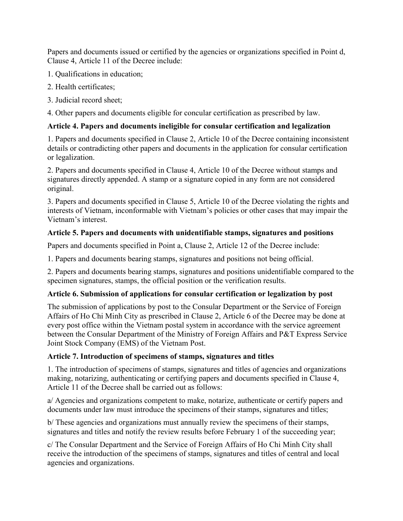Papers and documents issued or certified by the agencies or organizations specified in Point d, Clause 4, Article 11 of the Decree include:

- 1. Qualifications in education;
- 2. Health certificates;
- 3. Judicial record sheet;

4. Other papers and documents eligible for concular certification as prescribed by law.

### **Article 4. Papers and documents ineligible for consular certification and legalization**

1. Papers and documents specified in Clause 2, Article 10 of the Decree containing inconsistent details or contradicting other papers and documents in the application for consular certification or legalization.

2. Papers and documents specified in Clause 4, Article 10 of the Decree without stamps and signatures directly appended. A stamp or a signature copied in any form are not considered original.

3. Papers and documents specified in Clause 5, Article 10 of the Decree violating the rights and interests of Vietnam, inconformable with Vietnam's policies or other cases that may impair the Vietnam's interest.

## **Article 5. Papers and documents with unidentifiable stamps, signatures and positions**

Papers and documents specified in Point a, Clause 2, Article 12 of the Decree include:

1. Papers and documents bearing stamps, signatures and positions not being official.

2. Papers and documents bearing stamps, signatures and positions unidentifiable compared to the specimen signatures, stamps, the official position or the verification results.

### **Article 6. Submission of applications for consular certification or legalization by post**

The submission of applications by post to the Consular Department or the Service of Foreign Affairs of Ho Chi Minh City as prescribed in Clause 2, Article 6 of the Decree may be done at every post office within the Vietnam postal system in accordance with the service agreement between the Consular Department of the Ministry of Foreign Affairs and P&T Express Service Joint Stock Company (EMS) of the Vietnam Post.

### **Article 7. Introduction of specimens of stamps, signatures and titles**

1. The introduction of specimens of stamps, signatures and titles of agencies and organizations making, notarizing, authenticating or certifying papers and documents specified in Clause 4, Article 11 of the Decree shall be carried out as follows:

a/ Agencies and organizations competent to make, notarize, authenticate or certify papers and documents under law must introduce the specimens of their stamps, signatures and titles;

b/ These agencies and organizations must annually review the specimens of their stamps, signatures and titles and notify the review results before February 1 of the succeeding year;

c/ The Consular Department and the Service of Foreign Affairs of Ho Chi Minh City shall receive the introduction of the specimens of stamps, signatures and titles of central and local agencies and organizations.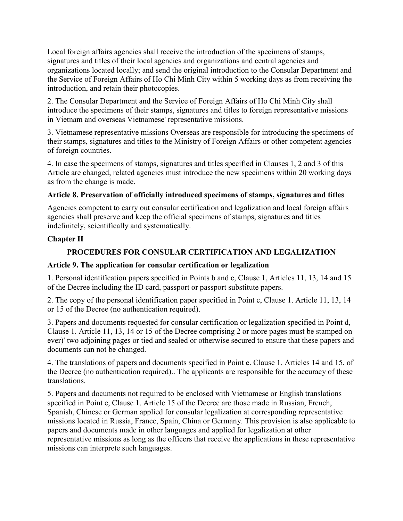Local foreign affairs agencies shall receive the introduction of the specimens of stamps, signatures and titles of their local agencies and organizations and central agencies and organizations located locally; and send the original introduction to the Consular Department and the Service of Foreign Affairs of Ho Chi Minh City within 5 working days as from receiving the introduction, and retain their photocopies.

2. The Consular Department and the Service of Foreign Affairs of Ho Chi Minh City shall introduce the specimens of their stamps, signatures and titles to foreign representative missions in Vietnam and overseas Vietnamese' representative missions.

3. Vietnamese representative missions Overseas are responsible for introducing the specimens of their stamps, signatures and titles to the Ministry of Foreign Affairs or other competent agencies of foreign countries.

4. In case the specimens of stamps, signatures and titles specified in Clauses 1, 2 and 3 of this Article are changed, related agencies must introduce the new specimens within 20 working days as from the change is made.

## **Article 8. Preservation of officially introduced specimens of stamps, signatures and titles**

Agencies competent to carry out consular certification and legalization and local foreign affairs agencies shall preserve and keep the official specimens of stamps, signatures and titles indefinitely, scientifically and systematically.

## **Chapter II**

## **PROCEDURES FOR CONSULAR CERTIFICATION AND LEGALIZATION**

### **Article 9. The application for consular certification or legalization**

1. Personal identification papers specified in Points b and c, Clause 1, Articles 11, 13, 14 and 15 of the Decree including the ID card, passport or passport substitute papers.

2. The copy of the personal identification paper specified in Point c, Clause 1. Article 11, 13, 14 or 15 of the Decree (no authentication required).

3. Papers and documents requested for consular certification or legalization specified in Point d, Clause 1. Article 11, 13, 14 or 15 of the Decree comprising 2 or more pages must be stamped on ever)' two adjoining pages or tied and sealed or otherwise secured to ensure that these papers and documents can not be changed.

4. The translations of papers and documents specified in Point e. Clause 1. Articles 14 and 15. of the Decree (no authentication required).. The applicants are responsible for the accuracy of these translations.

5. Papers and documents not required to be enclosed with Vietnamese or English translations specified in Point e, Clause 1. Article 15 of the Decree are those made in Russian, French, Spanish, Chinese or German applied for consular legalization at corresponding representative missions located in Russia, France, Spain, China or Germany. This provision is also applicable to papers and documents made in other languages and applied for legalization at other representative missions as long as the officers that receive the applications in these representative missions can interprete such languages.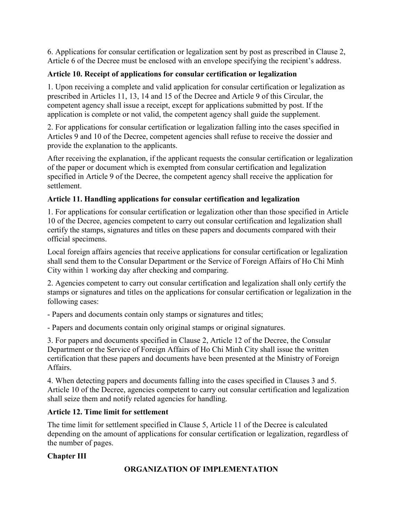6. Applications for consular certification or legalization sent by post as prescribed in Clause 2, Article 6 of the Decree must be enclosed with an envelope specifying the recipient's address.

# **Article 10. Receipt of applications for consular certification or legalization**

1. Upon receiving a complete and valid application for consular certification or legalization as prescribed in Articles 11, 13, 14 and 15 of the Decree and Article 9 of this Circular, the competent agency shall issue a receipt, except for applications submitted by post. If the application is complete or not valid, the competent agency shall guide the supplement.

2. For applications for consular certification or legalization falling into the cases specified in Articles 9 and 10 of the Decree, competent agencies shall refuse to receive the dossier and provide the explanation to the applicants.

After receiving the explanation, if the applicant requests the consular certification or legalization of the paper or document which is exempted from consular certification and legalization specified in Article 9 of the Decree, the competent agency shall receive the application for settlement.

# **Article 11. Handling applications for consular certification and legalization**

1. For applications for consular certification or legalization other than those specified in Article 10 of the Decree, agencies competent to carry out consular certification and legalization shall certify the stamps, signatures and titles on these papers and documents compared with their official specimens.

Local foreign affairs agencies that receive applications for consular certification or legalization shall send them to the Consular Department or the Service of Foreign Affairs of Ho Chi Minh City within 1 working day after checking and comparing.

2. Agencies competent to carry out consular certification and legalization shall only certify the stamps or signatures and titles on the applications for consular certification or legalization in the following cases:

- Papers and documents contain only stamps or signatures and titles;

- Papers and documents contain only original stamps or original signatures.

3. For papers and documents specified in Clause 2, Article 12 of the Decree, the Consular Department or the Service of Foreign Affairs of Ho Chi Minh City shall issue the written certification that these papers and documents have been presented at the Ministry of Foreign Affairs.

4. When detecting papers and documents falling into the cases specified in Clauses 3 and 5. Article 10 of the Decree, agencies competent to carry out consular certification and legalization shall seize them and notify related agencies for handling.

# **Article 12. Time limit for settlement**

The time limit for settlement specified in Clause 5, Article 11 of the Decree is calculated depending on the amount of applications for consular certification or legalization, regardless of the number of pages.

# **Chapter III**

# **ORGANIZATION OF IMPLEMENTATION**